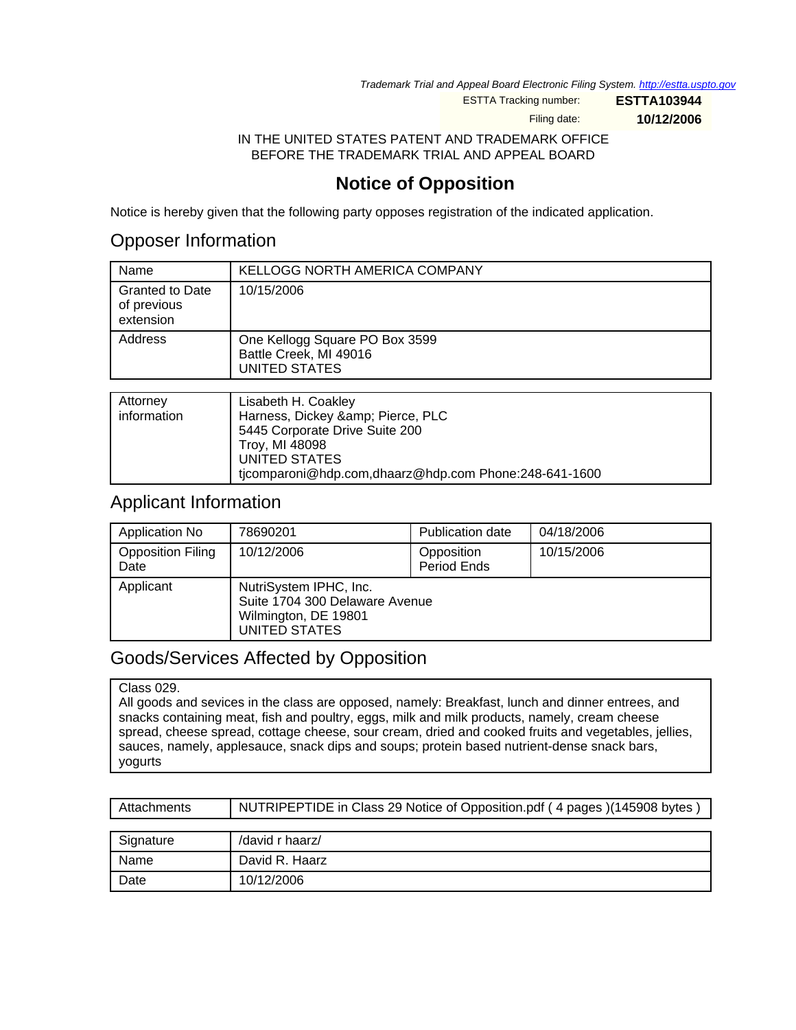Trademark Trial and Appeal Board Electronic Filing System. <http://estta.uspto.gov>

ESTTA Tracking number: **ESTTA103944**

Filing date: **10/12/2006**

IN THE UNITED STATES PATENT AND TRADEMARK OFFICE BEFORE THE TRADEMARK TRIAL AND APPEAL BOARD

# **Notice of Opposition**

Notice is hereby given that the following party opposes registration of the indicated application.

## Opposer Information

| Name                                               | <b>KELLOGG NORTH AMERICA COMPANY</b>                                             |
|----------------------------------------------------|----------------------------------------------------------------------------------|
| <b>Granted to Date</b><br>of previous<br>extension | 10/15/2006                                                                       |
| Address                                            | One Kellogg Square PO Box 3599<br>Battle Creek, MI 49016<br><b>UNITED STATES</b> |
|                                                    |                                                                                  |
| Attorney                                           | Lisabeth H. Coakley                                                              |

| Attorney    | Lisabeth H. Coakley                                   |
|-------------|-------------------------------------------------------|
| information | Harness, Dickey & Pierce, PLC                         |
|             | 5445 Corporate Drive Suite 200                        |
|             | Troy, MI 48098                                        |
|             | UNITED STATES                                         |
|             | ticomparoni@hdp.com,dhaarz@hdp.com Phone:248-641-1600 |
|             |                                                       |

### Applicant Information

| Application No                   | 78690201                                                                                          | Publication date          | 04/18/2006 |
|----------------------------------|---------------------------------------------------------------------------------------------------|---------------------------|------------|
| <b>Opposition Filing</b><br>Date | 10/12/2006                                                                                        | Opposition<br>Period Ends | 10/15/2006 |
| Applicant                        | NutriSystem IPHC, Inc.<br>Suite 1704 300 Delaware Avenue<br>Wilmington, DE 19801<br>UNITED STATES |                           |            |

## Goods/Services Affected by Opposition

#### Class 029.

All goods and sevices in the class are opposed, namely: Breakfast, lunch and dinner entrees, and snacks containing meat, fish and poultry, eggs, milk and milk products, namely, cream cheese spread, cheese spread, cottage cheese, sour cream, dried and cooked fruits and vegetables, jellies, sauces, namely, applesauce, snack dips and soups; protein based nutrient-dense snack bars, yogurts

| Attachments | NUTRIPEPTIDE in Class 29 Notice of Opposition.pdf (4 pages) (145908 bytes) |
|-------------|----------------------------------------------------------------------------|
|             |                                                                            |
| Signature   | /david r haarz/                                                            |
| Name        | David R. Haarz                                                             |
| Date        | 10/12/2006                                                                 |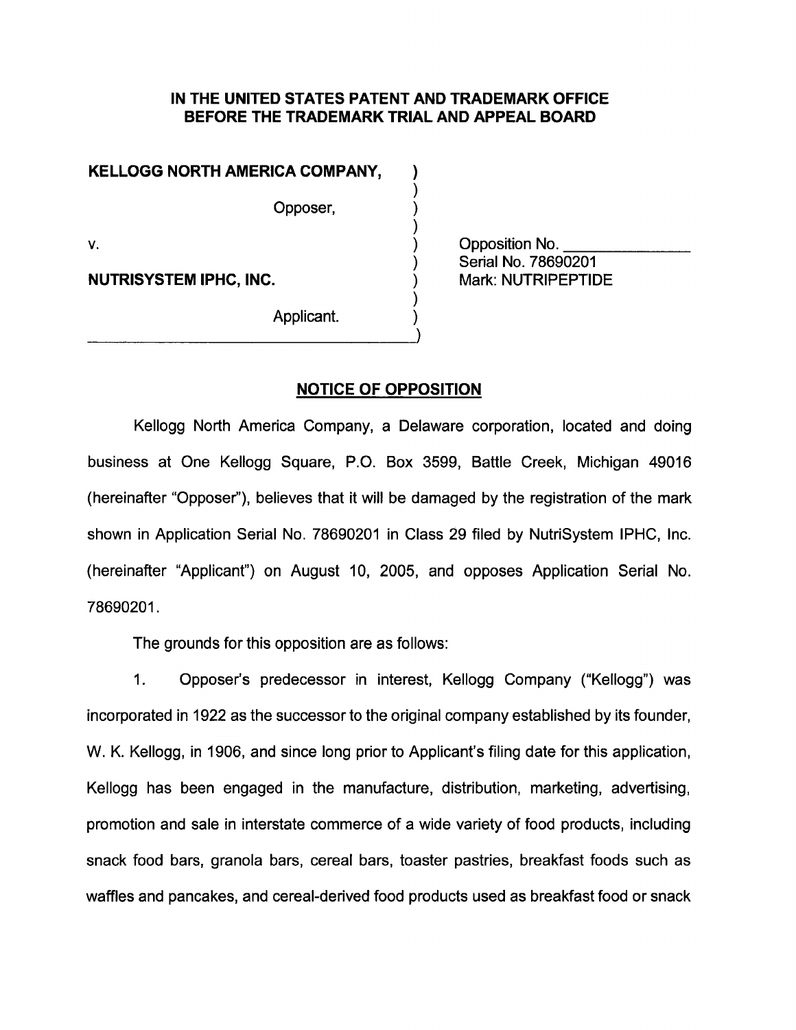### IN THE UNITED STATES PATENT AND TRADEMARK OFFICE BEFORE THE TRADEMARK TRIAL AND APPEAL BOARD

### KELLOGG NORTH AMERICA COMPANY,

Opposer,

٧.

**NUTRISYSTEM IPHC, INC.** 

Opposition No. Serial No. 78690201 Mark: NUTRIPEPTIDE

Applicant.

### **NOTICE OF OPPOSITION**

Kellogg North America Company, a Delaware corporation, located and doing business at One Kellogg Square, P.O. Box 3599, Battle Creek, Michigan 49016 (hereinafter "Opposer"), believes that it will be damaged by the registration of the mark shown in Application Serial No. 78690201 in Class 29 filed by NutriSystem IPHC, Inc. (hereinafter "Applicant") on August 10, 2005, and opposes Application Serial No. 78690201.

The grounds for this opposition are as follows:

 $1.$ Opposer's predecessor in interest, Kellogg Company ("Kellogg") was incorporated in 1922 as the successor to the original company established by its founder, W. K. Kellogg, in 1906, and since long prior to Applicant's filing date for this application, Kellogg has been engaged in the manufacture, distribution, marketing, advertising, promotion and sale in interstate commerce of a wide variety of food products, including snack food bars, granola bars, cereal bars, toaster pastries, breakfast foods such as waffles and pancakes, and cereal-derived food products used as breakfast food or snack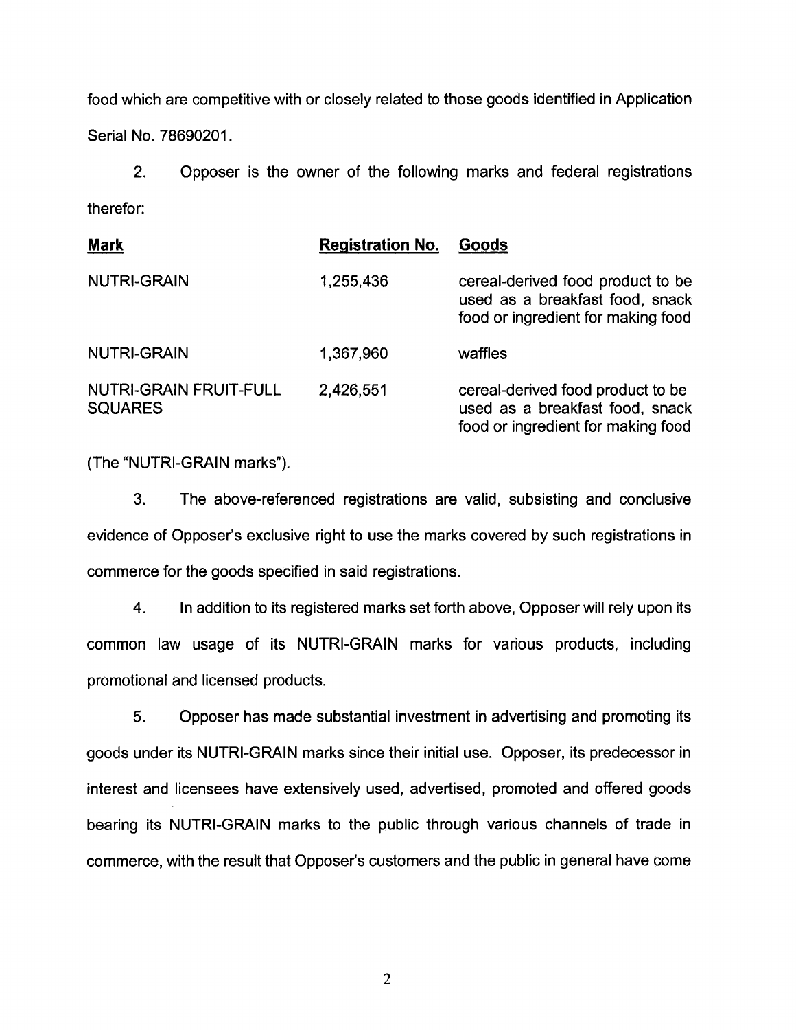food which are competitive with or closely related to those goods identified in Application Serial No. 78690201.

 $2.$ Opposer is the owner of the following marks and federal registrations therefor:

| <b>Mark</b>                                     | <b>Registration No.</b> | Goods                                                                                                      |
|-------------------------------------------------|-------------------------|------------------------------------------------------------------------------------------------------------|
| <b>NUTRI-GRAIN</b>                              | 1,255,436               | cereal-derived food product to be<br>used as a breakfast food, snack<br>food or ingredient for making food |
| <b>NUTRI-GRAIN</b>                              | 1,367,960               | waffles                                                                                                    |
| <b>NUTRI-GRAIN FRUIT-FULL</b><br><b>SQUARES</b> | 2,426,551               | cereal-derived food product to be<br>used as a breakfast food, snack<br>food or ingredient for making food |

(The "NUTRI-GRAIN marks").

3. The above-referenced registrations are valid, subsisting and conclusive evidence of Opposer's exclusive right to use the marks covered by such registrations in commerce for the goods specified in said registrations.

 $4.$ In addition to its registered marks set forth above, Opposer will rely upon its common law usage of its NUTRI-GRAIN marks for various products, including promotional and licensed products.

5. Opposer has made substantial investment in advertising and promoting its goods under its NUTRI-GRAIN marks since their initial use. Opposer, its predecessor in interest and licensees have extensively used, advertised, promoted and offered goods bearing its NUTRI-GRAIN marks to the public through various channels of trade in commerce, with the result that Opposer's customers and the public in general have come

 $\overline{2}$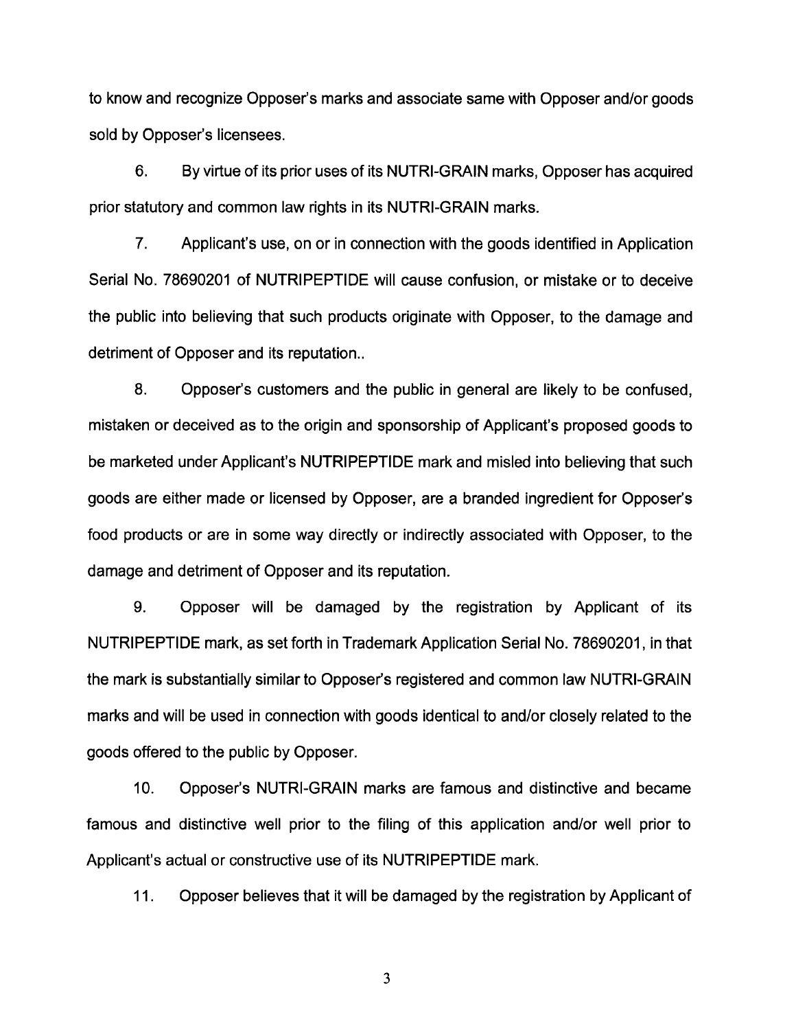to know and recognize Opposer's marks and associate same with Opposer and/or goods sold by Opposer's licensees.

6. By virtue of its prior uses of its NUTRI-GRAIN marks, Opposer has acquired prior statutory and common law rights in its NUTRI-GRAIN marks.

 $7<sub>1</sub>$ Applicant's use, on or in connection with the goods identified in Application Serial No. 78690201 of NUTRIPEPTIDE will cause confusion, or mistake or to deceive the public into believing that such products originate with Opposer, to the damage and detriment of Opposer and its reputation...

8. Opposer's customers and the public in general are likely to be confused. mistaken or deceived as to the origin and sponsorship of Applicant's proposed goods to be marketed under Applicant's NUTRIPEPTIDE mark and misled into believing that such goods are either made or licensed by Opposer, are a branded ingredient for Opposer's food products or are in some way directly or indirectly associated with Opposer, to the damage and detriment of Opposer and its reputation.

9. Opposer will be damaged by the registration by Applicant of its NUTRIPEPTIDE mark, as set forth in Trademark Application Serial No. 78690201, in that the mark is substantially similar to Opposer's registered and common law NUTRI-GRAIN marks and will be used in connection with goods identical to and/or closely related to the goods offered to the public by Opposer.

 $10.$ Opposer's NUTRI-GRAIN marks are famous and distinctive and became famous and distinctive well prior to the filing of this application and/or well prior to Applicant's actual or constructive use of its NUTRIPEPTIDE mark.

 $11.$ Opposer believes that it will be damaged by the registration by Applicant of

3